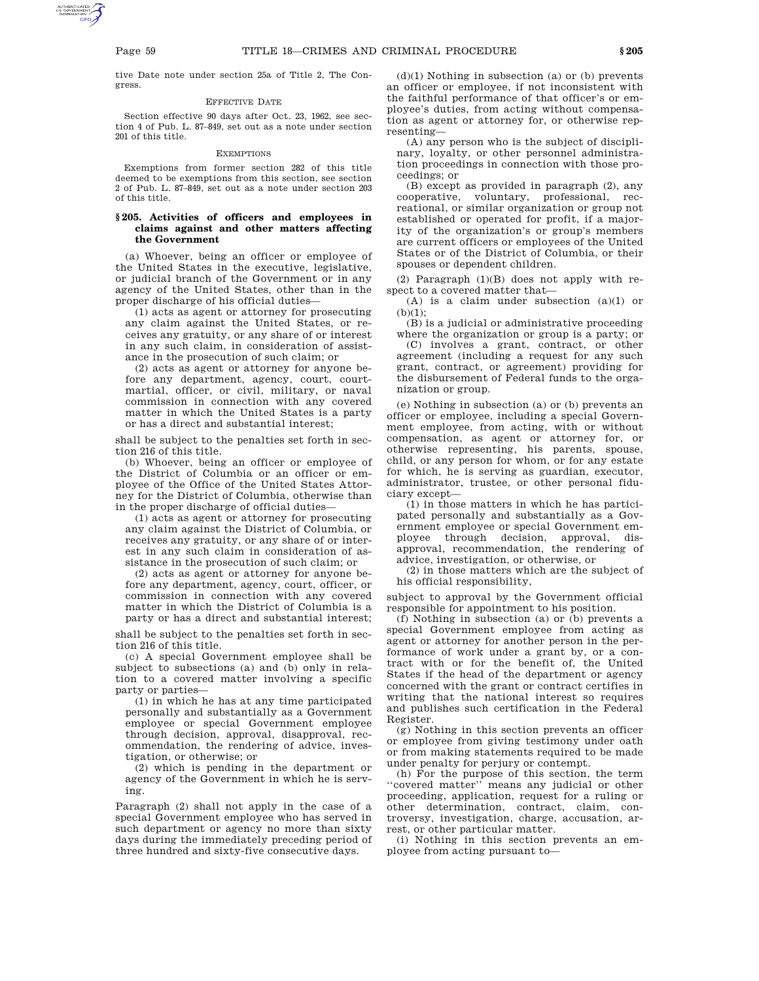tive Date note under section 25a of Title 2, The Congress.

# EFFECTIVE DATE

Section effective 90 days after Oct. 23, 1962, see section 4 of Pub. L. 87–849, set out as a note under section 201 of this title.

### **EXEMPTIONS**

Exemptions from former section 282 of this title deemed to be exemptions from this section, see section 2 of Pub. L. 87–849, set out as a note under section 203 of this title.

# **§ 205. Activities of officers and employees in claims against and other matters affecting the Government**

(a) Whoever, being an officer or employee of the United States in the executive, legislative, or judicial branch of the Government or in any agency of the United States, other than in the proper discharge of his official duties—

(1) acts as agent or attorney for prosecuting any claim against the United States, or receives any gratuity, or any share of or interest in any such claim, in consideration of assistance in the prosecution of such claim; or

(2) acts as agent or attorney for anyone before any department, agency, court, courtmartial, officer, or civil, military, or naval commission in connection with any covered matter in which the United States is a party or has a direct and substantial interest;

shall be subject to the penalties set forth in section 216 of this title.

(b) Whoever, being an officer or employee of the District of Columbia or an officer or employee of the Office of the United States Attorney for the District of Columbia, otherwise than in the proper discharge of official duties—

(1) acts as agent or attorney for prosecuting any claim against the District of Columbia, or receives any gratuity, or any share of or interest in any such claim in consideration of assistance in the prosecution of such claim; or

(2) acts as agent or attorney for anyone before any department, agency, court, officer, or commission in connection with any covered matter in which the District of Columbia is a party or has a direct and substantial interest;

shall be subject to the penalties set forth in section 216 of this title.

(c) A special Government employee shall be subject to subsections (a) and (b) only in relation to a covered matter involving a specific party or parties—

(1) in which he has at any time participated personally and substantially as a Government employee or special Government employee through decision, approval, disapproval, recommendation, the rendering of advice, investigation, or otherwise; or

(2) which is pending in the department or agency of the Government in which he is serving.

Paragraph (2) shall not apply in the case of a special Government employee who has served in such department or agency no more than sixty days during the immediately preceding period of three hundred and sixty-five consecutive days.

 $(d)(1)$  Nothing in subsection (a) or (b) prevents an officer or employee, if not inconsistent with the faithful performance of that officer's or employee's duties, from acting without compensation as agent or attorney for, or otherwise representing—

(A) any person who is the subject of disciplinary, loyalty, or other personnel administration proceedings in connection with those proceedings; or

(B) except as provided in paragraph (2), any cooperative, voluntary, professional, recreational, or similar organization or group not established or operated for profit, if a majority of the organization's or group's members are current officers or employees of the United States or of the District of Columbia, or their spouses or dependent children.

(2) Paragraph (1)(B) does not apply with respect to a covered matter that—

(A) is a claim under subsection (a)(1) or  $(b)(1)$ :

(B) is a judicial or administrative proceeding where the organization or group is a party; or

(C) involves a grant, contract, or other agreement (including a request for any such grant, contract, or agreement) providing for the disbursement of Federal funds to the organization or group.

(e) Nothing in subsection (a) or (b) prevents an officer or employee, including a special Government employee, from acting, with or without compensation, as agent or attorney for, or otherwise representing, his parents, spouse, child, or any person for whom, or for any estate for which, he is serving as guardian, executor, administrator, trustee, or other personal fiduciary except—

(1) in those matters in which he has participated personally and substantially as a Government employee or special Government employee through decision, approval, disapproval, recommendation, the rendering of advice, investigation, or otherwise, or

(2) in those matters which are the subject of his official responsibility,

subject to approval by the Government official responsible for appointment to his position.

(f) Nothing in subsection (a) or (b) prevents a special Government employee from acting as agent or attorney for another person in the performance of work under a grant by, or a contract with or for the benefit of, the United States if the head of the department or agency concerned with the grant or contract certifies in writing that the national interest so requires and publishes such certification in the Federal Register.

(g) Nothing in this section prevents an officer or employee from giving testimony under oath or from making statements required to be made under penalty for perjury or contempt.

(h) For the purpose of this section, the term "covered matter" means any judicial or other proceeding, application, request for a ruling or other determination, contract, claim, controversy, investigation, charge, accusation, arrest, or other particular matter.

(i) Nothing in this section prevents an employee from acting pursuant to